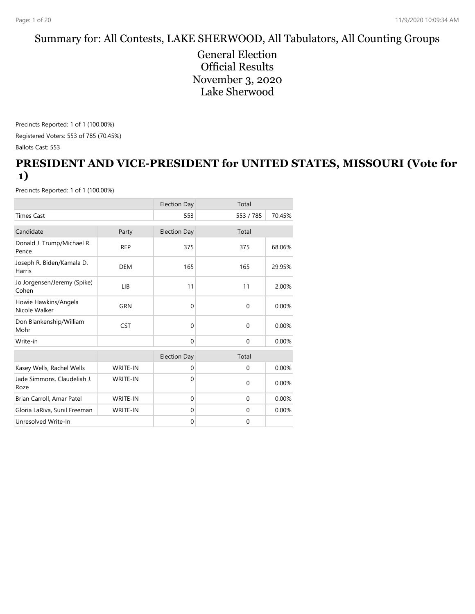# Summary for: All Contests, LAKE SHERWOOD, All Tabulators, All Counting Groups

General Election Official Results November 3, 2020 Lake Sherwood

Precincts Reported: 1 of 1 (100.00%) Registered Voters: 553 of 785 (70.45%) Ballots Cast: 553

#### **PRESIDENT AND VICE-PRESIDENT for UNITED STATES, MISSOURI (Vote for 1)**

|                                       |                 | <b>Election Day</b> | Total        |        |
|---------------------------------------|-----------------|---------------------|--------------|--------|
| <b>Times Cast</b>                     |                 | 553                 | 553 / 785    | 70.45% |
| Candidate                             | Party           | <b>Election Day</b> | Total        |        |
| Donald J. Trump/Michael R.<br>Pence   | <b>REP</b>      | 375                 | 375          | 68.06% |
| Joseph R. Biden/Kamala D.<br>Harris   | <b>DEM</b>      | 165                 | 165          | 29.95% |
| Jo Jorgensen/Jeremy (Spike)<br>Cohen  | LIB             | 11                  | 11           | 2.00%  |
| Howie Hawkins/Angela<br>Nicole Walker | <b>GRN</b>      | $\mathbf{0}$        | $\mathbf 0$  | 0.00%  |
| Don Blankenship/William<br>Mohr       | <b>CST</b>      | $\Omega$            | $\Omega$     | 0.00%  |
| Write-in                              |                 | $\mathbf 0$         | $\mathbf 0$  | 0.00%  |
|                                       |                 | <b>Election Day</b> | Total        |        |
| Kasey Wells, Rachel Wells             | <b>WRITE-IN</b> | $\mathbf{0}$        | $\mathbf 0$  | 0.00%  |
| Jade Simmons, Claudeliah J.<br>Roze   | <b>WRITE-IN</b> | $\mathbf{0}$        | $\Omega$     | 0.00%  |
| Brian Carroll, Amar Patel             | <b>WRITE-IN</b> | $\Omega$            | $\mathbf 0$  | 0.00%  |
| Gloria LaRiva, Sunil Freeman          | WRITE-IN        | $\mathbf{0}$        | $\mathbf{0}$ | 0.00%  |
| Unresolved Write-In                   |                 | $\mathbf{0}$        | 0            |        |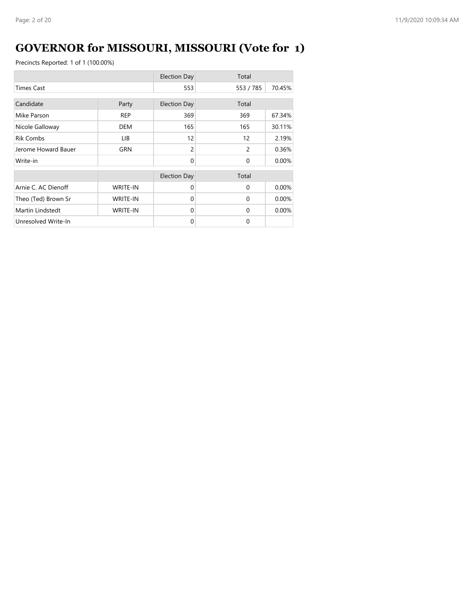# **GOVERNOR for MISSOURI, MISSOURI (Vote for 1)**

|                     |                 | <b>Election Day</b> | Total          |        |
|---------------------|-----------------|---------------------|----------------|--------|
| <b>Times Cast</b>   |                 | 553                 | 553 / 785      | 70.45% |
| Candidate           | Party           | <b>Election Day</b> | Total          |        |
| Mike Parson         | <b>REP</b>      | 369                 | 369            | 67.34% |
| Nicole Galloway     | DEM             | 165                 | 165            | 30.11% |
| <b>Rik Combs</b>    | LIB.            | 12                  | 12             | 2.19%  |
| Jerome Howard Bauer | GRN             | $\overline{c}$      | $\overline{c}$ | 0.36%  |
| Write-in            |                 | $\Omega$            | $\Omega$       | 0.00%  |
|                     |                 | <b>Election Day</b> | Total          |        |
| Arnie C. AC Dienoff | <b>WRITE-IN</b> | $\Omega$            | $\Omega$       | 0.00%  |
| Theo (Ted) Brown Sr | <b>WRITE-IN</b> | $\Omega$            | $\Omega$       | 0.00%  |
| Martin Lindstedt    | <b>WRITE-IN</b> | $\Omega$            | $\Omega$       | 0.00%  |
| Unresolved Write-In |                 | $\Omega$            | $\Omega$       |        |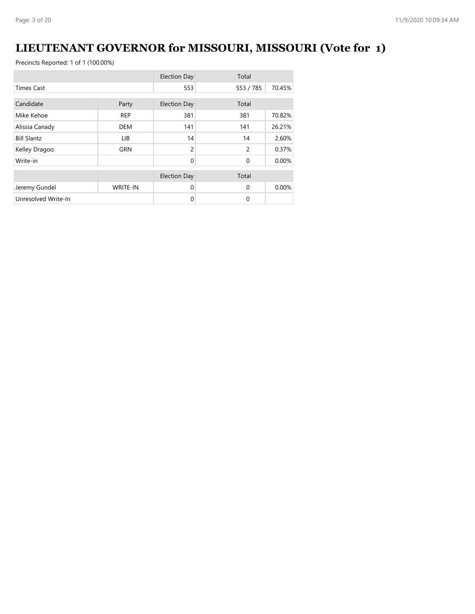# **LIEUTENANT GOVERNOR for MISSOURI, MISSOURI (Vote for 1)**

|                     |                 | <b>Election Day</b> | Total          |        |
|---------------------|-----------------|---------------------|----------------|--------|
| <b>Times Cast</b>   |                 | 553                 | 553 / 785      | 70.45% |
| Candidate           | Party           | <b>Election Day</b> | Total          |        |
| Mike Kehoe          | <b>REP</b>      | 381                 | 381            | 70.82% |
|                     |                 |                     |                |        |
| Alissia Canady      | <b>DEM</b>      | 141                 | 141            | 26.21% |
| <b>Bill Slantz</b>  | LIB             | 14                  | 14             | 2.60%  |
| Kelley Dragoo       | <b>GRN</b>      | 2                   | $\overline{2}$ | 0.37%  |
| Write-in            |                 | $\Omega$            | $\mathbf 0$    | 0.00%  |
|                     |                 | <b>Election Day</b> | Total          |        |
| Jeremy Gundel       | <b>WRITE-IN</b> | $\Omega$            | $\Omega$       | 0.00%  |
| Unresolved Write-In |                 | $\mathbf 0$         | $\Omega$       |        |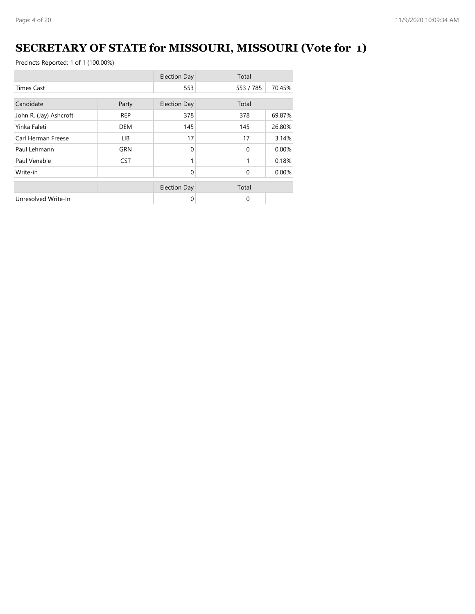# **SECRETARY OF STATE for MISSOURI, MISSOURI (Vote for 1)**

|                        |            | <b>Election Day</b> | Total     |          |
|------------------------|------------|---------------------|-----------|----------|
| <b>Times Cast</b>      |            |                     | 553 / 785 | 70.45%   |
| Candidate<br>Party     |            | <b>Election Day</b> | Total     |          |
| John R. (Jay) Ashcroft | <b>REP</b> | 378                 | 378       | 69.87%   |
| Yinka Faleti           | <b>DEM</b> | 145                 | 145       | 26.80%   |
| Carl Herman Freese     | LIB.       | 17                  | 17        | 3.14%    |
| Paul Lehmann           | <b>GRN</b> | $\Omega$            | $\Omega$  | $0.00\%$ |
| Paul Venable           | <b>CST</b> | 1                   | 1         | 0.18%    |
| Write-in               |            | $\Omega$            | $\Omega$  | 0.00%    |
|                        |            | <b>Election Day</b> | Total     |          |
| Unresolved Write-In    |            | 0                   | $\Omega$  |          |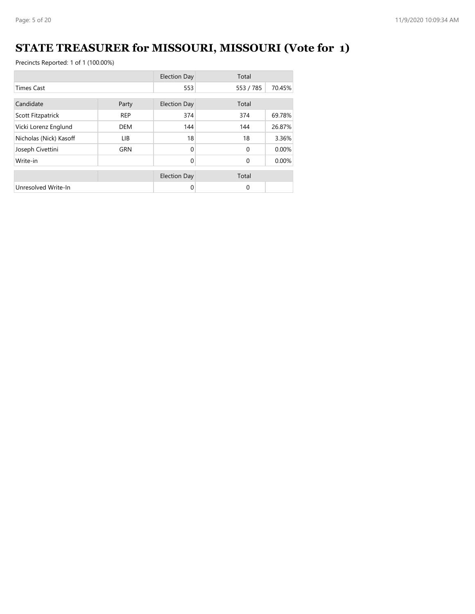# **STATE TREASURER for MISSOURI, MISSOURI (Vote for 1)**

|                        |            | <b>Election Day</b> | Total       |        |
|------------------------|------------|---------------------|-------------|--------|
| <b>Times Cast</b>      |            | 553                 | 553 / 785   | 70.45% |
| Candidate<br>Party     |            | <b>Election Day</b> | Total       |        |
| Scott Fitzpatrick      | <b>REP</b> | 374                 | 374         | 69.78% |
| Vicki Lorenz Englund   | <b>DEM</b> | 144                 | 144         | 26.87% |
| Nicholas (Nick) Kasoff | LIB.       | 18                  | 18          | 3.36%  |
| Joseph Civettini       | <b>GRN</b> | $\Omega$            | $\Omega$    | 0.00%  |
| Write-in               |            | $\Omega$            | $\mathbf 0$ | 0.00%  |
|                        |            | <b>Election Day</b> | Total       |        |
| Unresolved Write-In    |            | 0                   | 0           |        |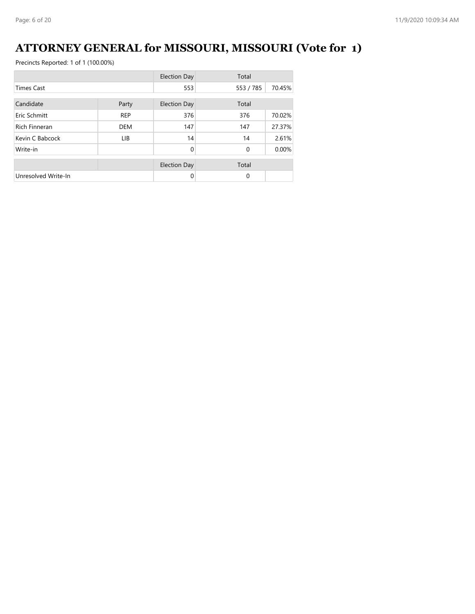# **ATTORNEY GENERAL for MISSOURI, MISSOURI (Vote for 1)**

|                      |            | <b>Election Day</b> | Total       |        |
|----------------------|------------|---------------------|-------------|--------|
| <b>Times Cast</b>    |            | 553                 | 553 / 785   | 70.45% |
| Candidate            | Party      | <b>Election Day</b> | Total       |        |
| Eric Schmitt         | <b>REP</b> | 376                 | 376         | 70.02% |
| <b>Rich Finneran</b> | <b>DEM</b> | 147                 | 147         | 27.37% |
| Kevin C Babcock      | LIB.       | 14                  | 14          | 2.61%  |
| Write-in             |            | $\Omega$            | $\mathbf 0$ | 0.00%  |
|                      |            | <b>Election Day</b> | Total       |        |
| Unresolved Write-In  |            | $\Omega$            | $\Omega$    |        |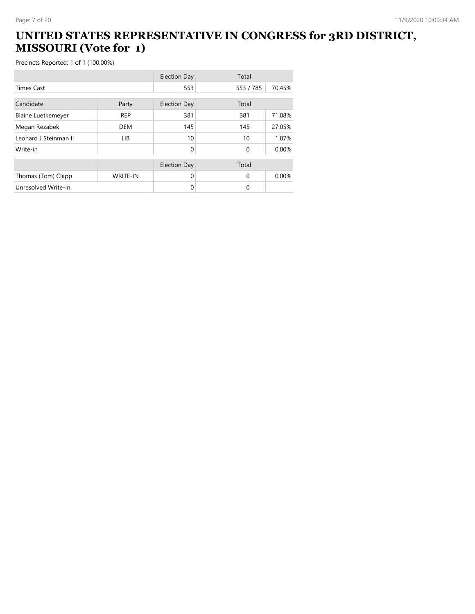#### **UNITED STATES REPRESENTATIVE IN CONGRESS for 3RD DISTRICT, MISSOURI (Vote for 1)**

|                           |                 | <b>Election Day</b> | Total     |        |
|---------------------------|-----------------|---------------------|-----------|--------|
| Times Cast                |                 | 553                 | 553 / 785 | 70.45% |
| Candidate                 | Party           | <b>Election Day</b> | Total     |        |
| <b>Blaine Luetkemeyer</b> | <b>REP</b>      | 381                 | 381       | 71.08% |
| Megan Rezabek             | <b>DEM</b>      | 145                 | 145       | 27.05% |
| Leonard J Steinman II     | <b>LIB</b>      | 10                  | 10        | 1.87%  |
| Write-in                  |                 | 0                   | $\Omega$  | 0.00%  |
|                           |                 | <b>Election Day</b> | Total     |        |
| Thomas (Tom) Clapp        | <b>WRITE-IN</b> | 0                   | $\Omega$  | 0.00%  |
| Unresolved Write-In       |                 | 0                   | $\Omega$  |        |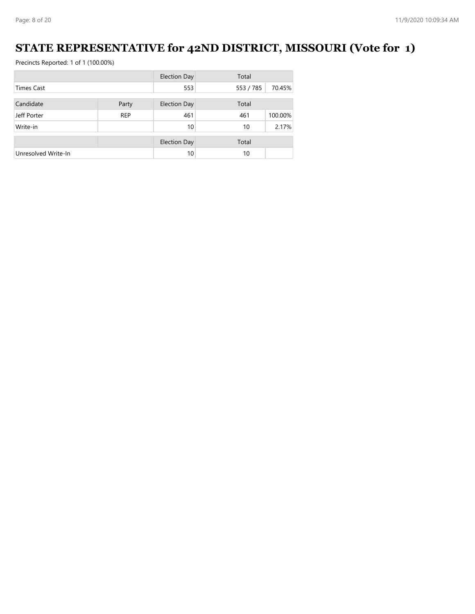#### **STATE REPRESENTATIVE for 42ND DISTRICT, MISSOURI (Vote for 1)**

|                     |            | <b>Election Day</b> | Total     |         |
|---------------------|------------|---------------------|-----------|---------|
| <b>Times Cast</b>   |            | 553                 | 553 / 785 | 70.45%  |
| Candidate           |            |                     | Total     |         |
|                     | Party      | <b>Election Day</b> |           |         |
| Jeff Porter         | <b>REP</b> | 461                 | 461       | 100.00% |
| Write-in            |            | 10                  | 10        | 2.17%   |
|                     |            |                     |           |         |
|                     |            | <b>Election Day</b> | Total     |         |
| Unresolved Write-In |            | 10                  | 10        |         |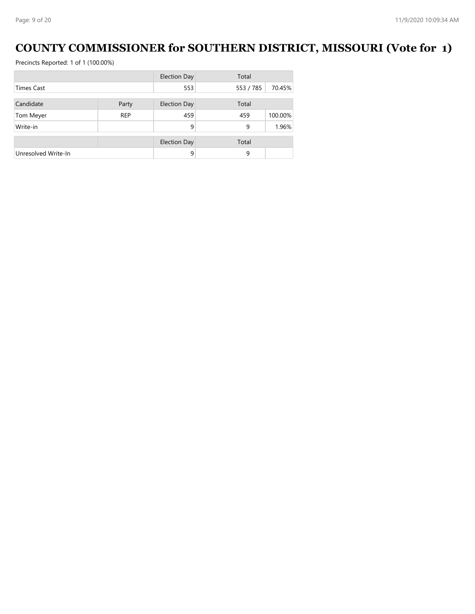#### **COUNTY COMMISSIONER for SOUTHERN DISTRICT, MISSOURI (Vote for 1)**

|                     |            | <b>Election Day</b> | Total     |         |
|---------------------|------------|---------------------|-----------|---------|
| <b>Times Cast</b>   |            | 553                 | 553 / 785 | 70.45%  |
| Candidate           |            |                     | Total     |         |
|                     | Party      | Election Day        |           |         |
| Tom Meyer           | <b>REP</b> | 459                 | 459       | 100.00% |
| Write-in            |            | 9                   | 9         | 1.96%   |
|                     |            |                     |           |         |
|                     |            | <b>Election Day</b> | Total     |         |
| Unresolved Write-In |            | 9                   | 9         |         |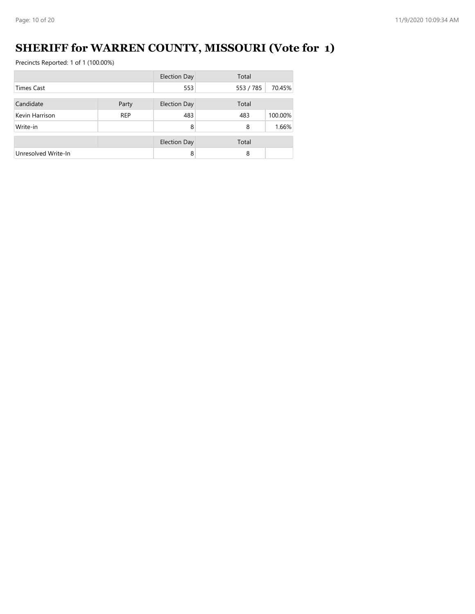# **SHERIFF for WARREN COUNTY, MISSOURI (Vote for 1)**

|                     |            | <b>Election Day</b> | Total     |         |
|---------------------|------------|---------------------|-----------|---------|
| <b>Times Cast</b>   |            | 553                 | 553 / 785 | 70.45%  |
| Candidate           | Party      | Election Day        | Total     |         |
| Kevin Harrison      | <b>REP</b> | 483                 | 483       | 100.00% |
| Write-in            |            | 8                   | 8         | 1.66%   |
|                     |            | <b>Election Day</b> | Total     |         |
| Unresolved Write-In |            | 8                   | 8         |         |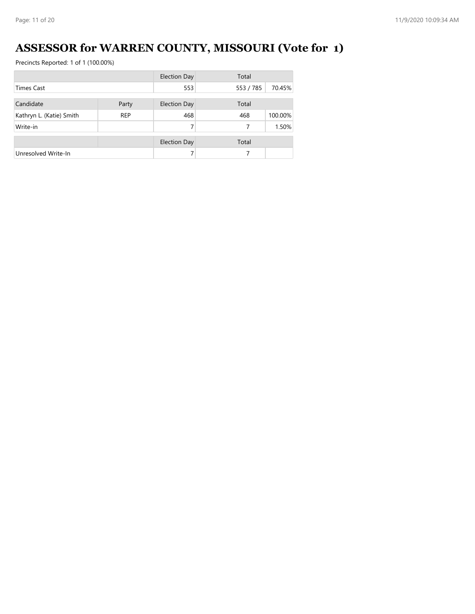# **ASSESSOR for WARREN COUNTY, MISSOURI (Vote for 1)**

|                          |            | <b>Election Day</b> | Total     |         |
|--------------------------|------------|---------------------|-----------|---------|
| <b>Times Cast</b>        |            | 553                 | 553 / 785 | 70.45%  |
| Candidate                | Party      | <b>Election Day</b> | Total     |         |
|                          |            |                     |           |         |
| Kathryn L. (Katie) Smith | <b>REP</b> | 468                 | 468       | 100.00% |
| Write-in                 |            |                     |           | 1.50%   |
|                          |            | <b>Election Day</b> | Total     |         |
| Unresolved Write-In      |            |                     |           |         |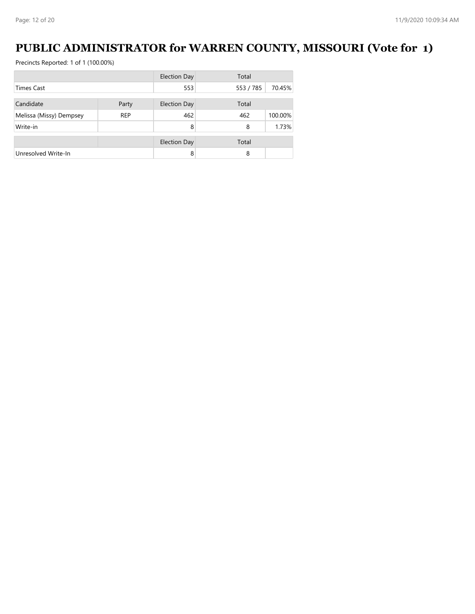#### **PUBLIC ADMINISTRATOR for WARREN COUNTY, MISSOURI (Vote for 1)**

|                         |            | <b>Election Day</b> | Total     |         |
|-------------------------|------------|---------------------|-----------|---------|
| <b>Times Cast</b>       |            | 553                 | 553 / 785 | 70.45%  |
| Candidate               | Party      | Election Day        | Total     |         |
|                         |            |                     |           |         |
| Melissa (Missy) Dempsey | <b>REP</b> | 462                 | 462       | 100.00% |
| Write-in                |            | 8                   | 8         | 1.73%   |
|                         |            | <b>Election Day</b> | Total     |         |
| Unresolved Write-In     |            | 8                   | 8         |         |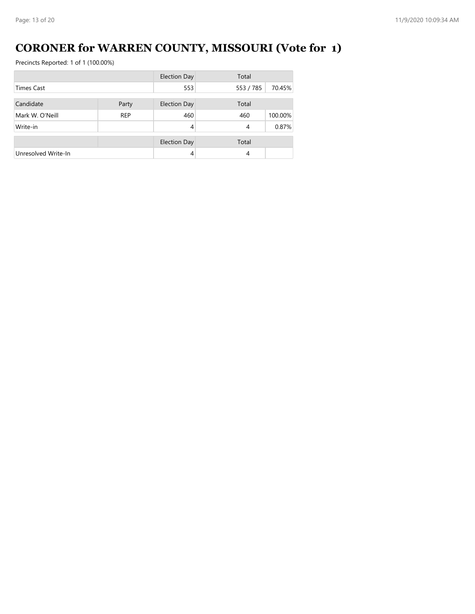# **CORONER for WARREN COUNTY, MISSOURI (Vote for 1)**

|                     |            | <b>Election Day</b> | Total     |         |
|---------------------|------------|---------------------|-----------|---------|
| <b>Times Cast</b>   |            | 553                 | 553 / 785 | 70.45%  |
|                     |            |                     |           |         |
| Candidate           | Party      | <b>Election Day</b> | Total     |         |
| Mark W. O'Neill     | <b>REP</b> | 460                 | 460       | 100.00% |
| Write-in            |            | 4                   | 4         | 0.87%   |
|                     |            | <b>Election Day</b> | Total     |         |
| Unresolved Write-In |            | 4                   | 4         |         |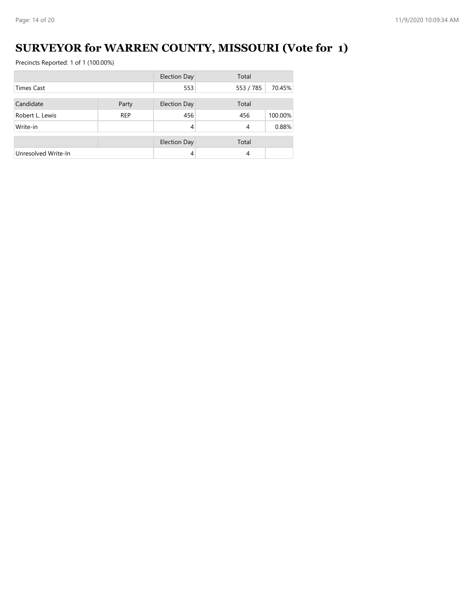# **SURVEYOR for WARREN COUNTY, MISSOURI (Vote for 1)**

|                     |            | <b>Election Day</b> | Total     |         |
|---------------------|------------|---------------------|-----------|---------|
| Times Cast          |            | 553                 | 553 / 785 | 70.45%  |
| Candidate<br>Party  |            | <b>Election Day</b> | Total     |         |
| Robert L. Lewis     | <b>REP</b> | 456                 | 456       | 100.00% |
| Write-in            |            | 4                   | 4         | 0.88%   |
|                     |            |                     |           |         |
|                     |            | <b>Election Day</b> | Total     |         |
| Unresolved Write-In |            | 4                   | 4         |         |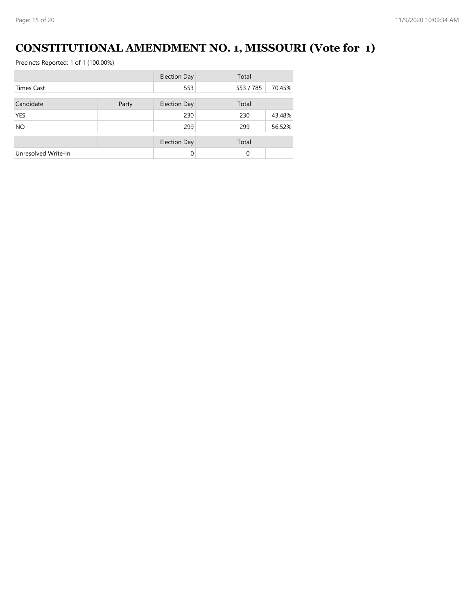#### **CONSTITUTIONAL AMENDMENT NO. 1, MISSOURI (Vote for 1)**

|                     |       | <b>Election Day</b> | Total     |        |
|---------------------|-------|---------------------|-----------|--------|
| <b>Times Cast</b>   |       | 553                 | 553 / 785 | 70.45% |
| Candidate           | Party | <b>Election Day</b> | Total     |        |
| <b>YES</b>          |       | 230                 | 230       | 43.48% |
| <b>NO</b>           |       | 299                 | 299       | 56.52% |
|                     |       | <b>Election Day</b> | Total     |        |
| Unresolved Write-In |       | $\Omega$            | 0         |        |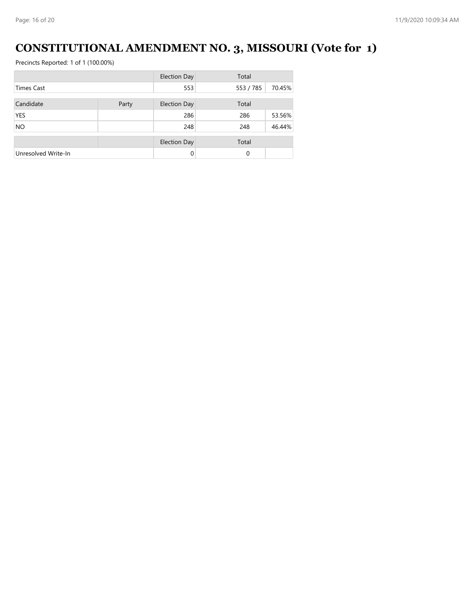# **CONSTITUTIONAL AMENDMENT NO. 3, MISSOURI (Vote for 1)**

|                     |       | <b>Election Day</b> | Total     |        |
|---------------------|-------|---------------------|-----------|--------|
| <b>Times Cast</b>   |       | 553                 | 553 / 785 | 70.45% |
| Candidate           | Party | <b>Election Day</b> | Total     |        |
| <b>YES</b>          |       | 286                 | 286       | 53.56% |
| <b>NO</b>           |       | 248                 | 248       | 46.44% |
|                     |       | <b>Election Day</b> | Total     |        |
| Unresolved Write-In |       | $\Omega$            | 0         |        |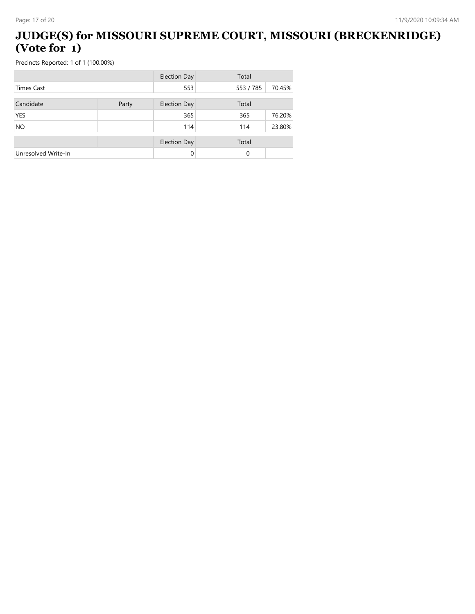#### **JUDGE(S) for MISSOURI SUPREME COURT, MISSOURI (BRECKENRIDGE) (Vote for 1)**

|                     |       | <b>Election Day</b> | Total     |        |
|---------------------|-------|---------------------|-----------|--------|
| <b>Times Cast</b>   |       | 553                 | 553 / 785 | 70.45% |
| Candidate           | Party | <b>Election Day</b> | Total     |        |
| <b>YES</b>          |       | 365                 | 365       | 76.20% |
| <b>NO</b>           |       | 114                 | 114       | 23.80% |
|                     |       | <b>Election Day</b> | Total     |        |
| Unresolved Write-In |       | 0                   | $\Omega$  |        |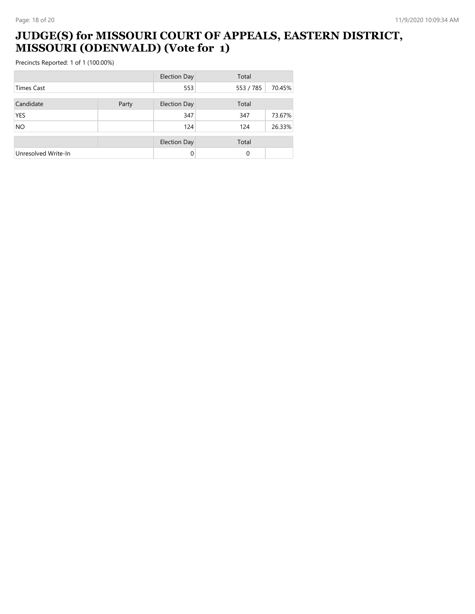#### **JUDGE(S) for MISSOURI COURT OF APPEALS, EASTERN DISTRICT, MISSOURI (ODENWALD) (Vote for 1)**

|                     |       | <b>Election Day</b> | Total     |        |
|---------------------|-------|---------------------|-----------|--------|
| <b>Times Cast</b>   |       | 553                 | 553 / 785 | 70.45% |
| Candidate           | Party | <b>Election Day</b> | Total     |        |
| <b>YES</b>          |       | 347                 | 347       | 73.67% |
| <b>NO</b>           |       | 124                 | 124       | 26.33% |
|                     |       | <b>Election Day</b> | Total     |        |
| Unresolved Write-In |       | 0                   | 0         |        |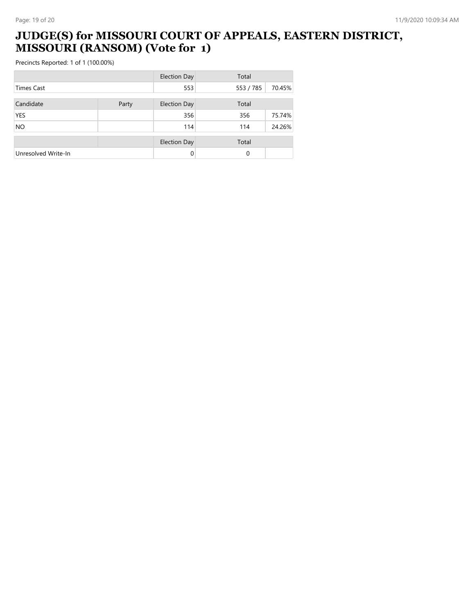#### **JUDGE(S) for MISSOURI COURT OF APPEALS, EASTERN DISTRICT, MISSOURI (RANSOM) (Vote for 1)**

|                     |       | <b>Election Day</b> | Total     |        |
|---------------------|-------|---------------------|-----------|--------|
| <b>Times Cast</b>   |       | 553                 | 553 / 785 | 70.45% |
| Candidate           | Party | <b>Election Day</b> | Total     |        |
| <b>YES</b>          |       | 356                 | 356       | 75.74% |
| <b>NO</b>           |       | 114                 | 114       | 24.26% |
|                     |       | <b>Election Day</b> | Total     |        |
| Unresolved Write-In |       | 0                   | 0         |        |